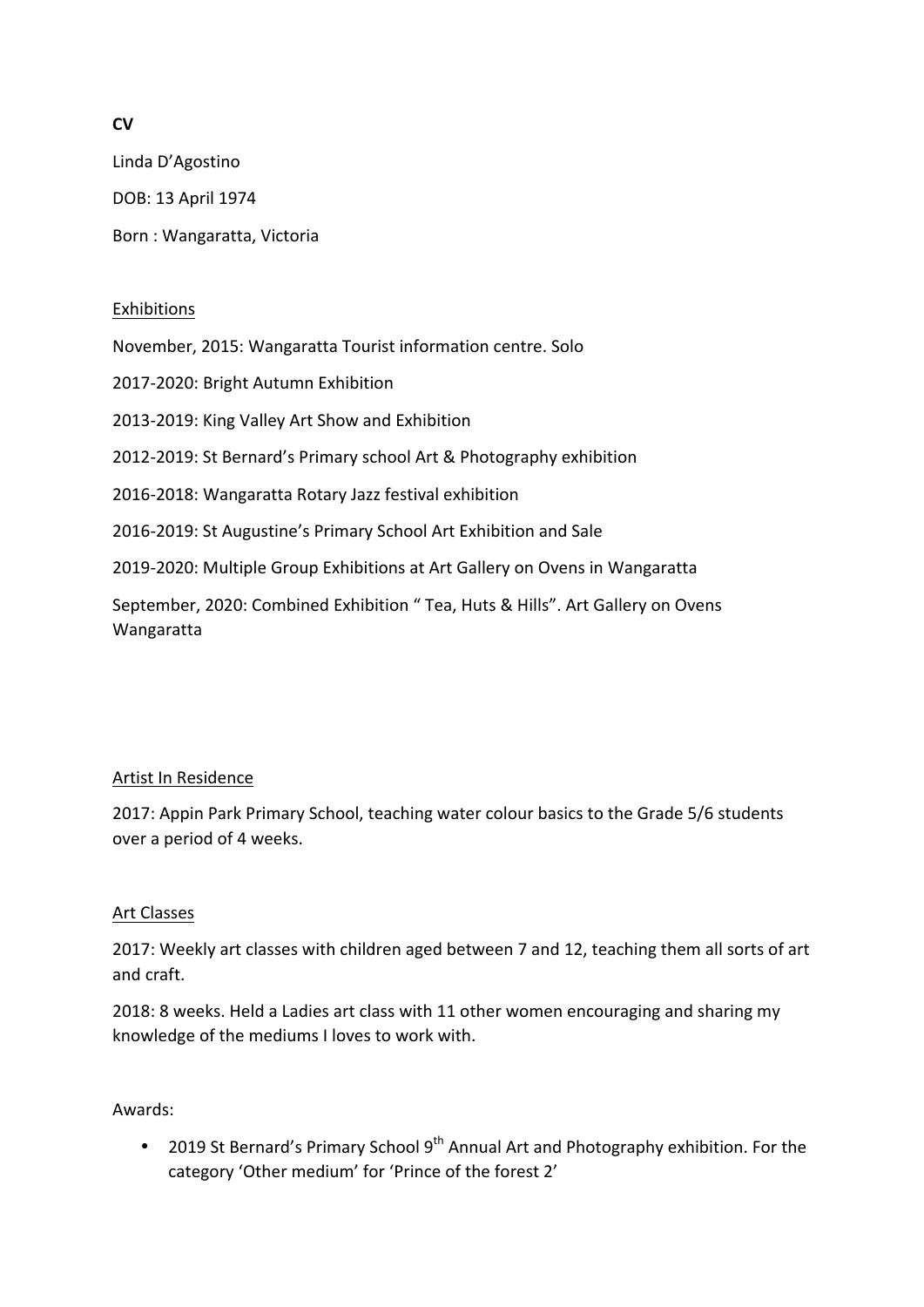# **CV**

Linda D'Agostino DOB: 13 April 1974 Born : Wangaratta, Victoria

### Exhibitions

November, 2015: Wangaratta Tourist information centre. Solo

2017-2020: Bright Autumn Exhibition

2013-2019: King Valley Art Show and Exhibition

2012-2019: St Bernard's Primary school Art & Photography exhibition

2016-2018: Wangaratta Rotary Jazz festival exhibition

2016-2019: St Augustine's Primary School Art Exhibition and Sale

2019-2020: Multiple Group Exhibitions at Art Gallery on Ovens in Wangaratta

September, 2020: Combined Exhibition " Tea, Huts & Hills". Art Gallery on Ovens Wangaratta

#### Artist In Residence

2017: Appin Park Primary School, teaching water colour basics to the Grade 5/6 students over a period of 4 weeks.

#### Art Classes

2017: Weekly art classes with children aged between 7 and 12, teaching them all sorts of art and craft.

2018: 8 weeks. Held a Ladies art class with 11 other women encouraging and sharing my knowledge of the mediums I loves to work with.

#### Awards:

• 2019 St Bernard's Primary School  $9^{th}$  Annual Art and Photography exhibition. For the category 'Other medium' for 'Prince of the forest 2'